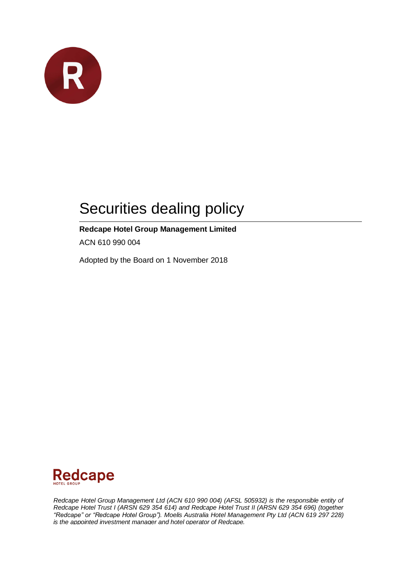

# Securities dealing policy

### **Redcape Hotel Group Management Limited**

ACN 610 990 004

Adopted by the Board on 1 November 2018



*Redcape Hotel Group Management Ltd (ACN 610 990 004) (AFSL 505932) is the responsible entity of Redcape Hotel Trust I (ARSN 629 354 614) and Redcape Hotel Trust II (ARSN 629 354 696) (together "Redcape" or "Redcape Hotel Group"). Moelis Australia Hotel Management Pty Ltd (ACN 619 297 228) is the appointed investment manager and hotel operator of Redcape.*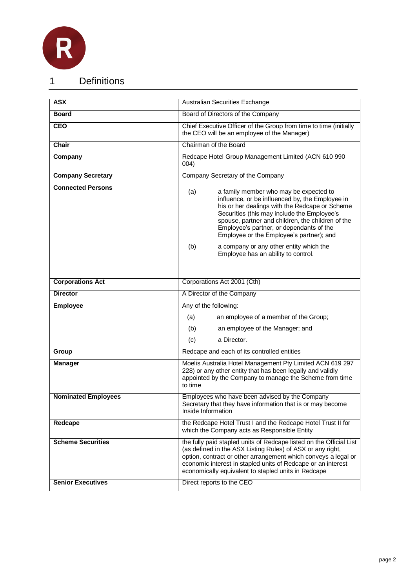

1 Definitions

| <b>ASX</b>                 | Australian Securities Exchange                                                                                                                                                                                                                                                                                                                 |
|----------------------------|------------------------------------------------------------------------------------------------------------------------------------------------------------------------------------------------------------------------------------------------------------------------------------------------------------------------------------------------|
| <b>Board</b>               | Board of Directors of the Company                                                                                                                                                                                                                                                                                                              |
| <b>CEO</b>                 | Chief Executive Officer of the Group from time to time (initially<br>the CEO will be an employee of the Manager)                                                                                                                                                                                                                               |
| Chair                      | Chairman of the Board                                                                                                                                                                                                                                                                                                                          |
| Company                    | Redcape Hotel Group Management Limited (ACN 610 990<br>004)                                                                                                                                                                                                                                                                                    |
| <b>Company Secretary</b>   | Company Secretary of the Company                                                                                                                                                                                                                                                                                                               |
| <b>Connected Persons</b>   | (a)<br>a family member who may be expected to<br>influence, or be influenced by, the Employee in<br>his or her dealings with the Redcape or Scheme<br>Securities (this may include the Employee's<br>spouse, partner and children, the children of the<br>Employee's partner, or dependants of the<br>Employee or the Employee's partner); and |
|                            | a company or any other entity which the<br>(b)<br>Employee has an ability to control.                                                                                                                                                                                                                                                          |
| <b>Corporations Act</b>    | Corporations Act 2001 (Cth)                                                                                                                                                                                                                                                                                                                    |
| <b>Director</b>            | A Director of the Company                                                                                                                                                                                                                                                                                                                      |
| Employee                   | Any of the following:                                                                                                                                                                                                                                                                                                                          |
|                            | (a)<br>an employee of a member of the Group;                                                                                                                                                                                                                                                                                                   |
|                            | (b)<br>an employee of the Manager; and                                                                                                                                                                                                                                                                                                         |
|                            | (c)<br>a Director.                                                                                                                                                                                                                                                                                                                             |
| Group                      | Redcape and each of its controlled entities                                                                                                                                                                                                                                                                                                    |
| <b>Manager</b>             | Moelis Australia Hotel Management Pty Limited ACN 619 297<br>228) or any other entity that has been legally and validly<br>appointed by the Company to manage the Scheme from time<br>to time                                                                                                                                                  |
| <b>Nominated Employees</b> | Employees who have been advised by the Company<br>Secretary that they have information that is or may become<br>Inside Information                                                                                                                                                                                                             |
| Redcape                    | the Redcape Hotel Trust I and the Redcape Hotel Trust II for<br>which the Company acts as Responsible Entity                                                                                                                                                                                                                                   |
| <b>Scheme Securities</b>   | the fully paid stapled units of Redcape listed on the Official List<br>(as defined in the ASX Listing Rules) of ASX or any right,<br>option, contract or other arrangement which conveys a legal or<br>economic interest in stapled units of Redcape or an interest<br>economically equivalent to stapled units in Redcape                     |
| <b>Senior Executives</b>   | Direct reports to the CEO                                                                                                                                                                                                                                                                                                                      |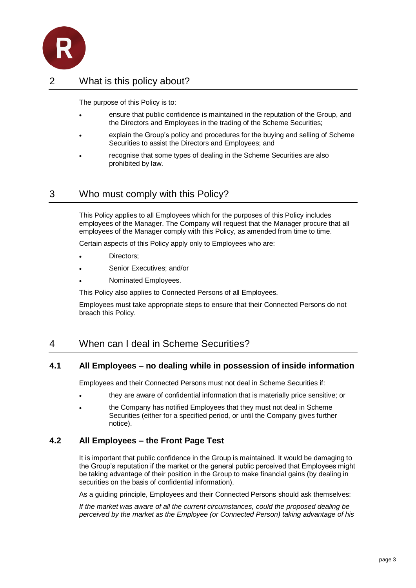

## 2 What is this policy about?

The purpose of this Policy is to:

- ensure that public confidence is maintained in the reputation of the Group, and the Directors and Employees in the trading of the Scheme Securities;
- explain the Group's policy and procedures for the buying and selling of Scheme Securities to assist the Directors and Employees; and
- recognise that some types of dealing in the Scheme Securities are also prohibited by law.

## 3 Who must comply with this Policy?

This Policy applies to all Employees which for the purposes of this Policy includes employees of the Manager. The Company will request that the Manager procure that all employees of the Manager comply with this Policy, as amended from time to time.

Certain aspects of this Policy apply only to Employees who are:

- Directors;
- Senior Executives; and/or
- Nominated Employees.

This Policy also applies to Connected Persons of all Employees.

Employees must take appropriate steps to ensure that their Connected Persons do not breach this Policy.

## <span id="page-2-0"></span>4 When can I deal in Scheme Securities?

#### **4.1 All Employees – no dealing while in possession of inside information**

Employees and their Connected Persons must not deal in Scheme Securities if:

- they are aware of confidential information that is materially price sensitive; or
- the Company has notified Employees that they must not deal in Scheme Securities (either for a specified period, or until the Company gives further notice).

#### **4.2 All Employees – the Front Page Test**

It is important that public confidence in the Group is maintained. It would be damaging to the Group's reputation if the market or the general public perceived that Employees might be taking advantage of their position in the Group to make financial gains (by dealing in securities on the basis of confidential information).

As a guiding principle, Employees and their Connected Persons should ask themselves:

*If the market was aware of all the current circumstances, could the proposed dealing be perceived by the market as the Employee (or Connected Person) taking advantage of his*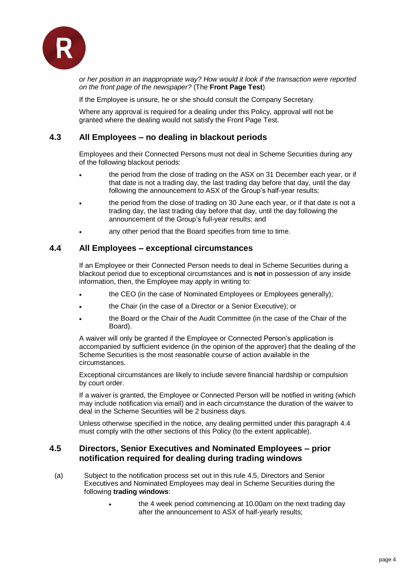

*or her position in an inappropriate way? How would it look if the transaction were reported on the front page of the newspaper?* (The **Front Page Test**)

If the Employee is unsure, he or she should consult the Company Secretary.

Where any approval is required for a dealing under this Policy, approval will not be granted where the dealing would not satisfy the Front Page Test.

#### <span id="page-3-3"></span>**4.3 All Employees – no dealing in blackout periods**

Employees and their Connected Persons must not deal in Scheme Securities during any of the following blackout periods:

- the period from the close of trading on the ASX on 31 December each year, or if that date is not a trading day, the last trading day before that day, until the day following the announcement to ASX of the Group's half-year results;
- the period from the close of trading on 30 June each year, or if that date is not a trading day, the last trading day before that day, until the day following the announcement of the Group's full-year results; and
- any other period that the Board specifies from time to time.

#### <span id="page-3-0"></span>**4.4 All Employees – exceptional circumstances**

If an Employee or their Connected Person needs to deal in Scheme Securities during a blackout period due to exceptional circumstances and is **not** in possession of any inside information, then, the Employee may apply in writing to:

- the CEO (in the case of Nominated Employees or Employees generally);
- the Chair (in the case of a Director or a Senior Executive); or
- the Board or the Chair of the Audit Committee (in the case of the Chair of the Board).

A waiver will only be granted if the Employee or Connected Person's application is accompanied by sufficient evidence (in the opinion of the approver) that the dealing of the Scheme Securities is the most reasonable course of action available in the circumstances.

Exceptional circumstances are likely to include severe financial hardship or compulsion by court order.

If a waiver is granted, the Employee or Connected Person will be notified in writing (which may include notification via email) and in each circumstance the duration of the waiver to deal in the Scheme Securities will be 2 business days.

<span id="page-3-2"></span>Unless otherwise specified in the notice, any dealing permitted under this paragraph [4.4](#page-3-0) must comply with the other sections of this Policy (to the extent applicable).

#### <span id="page-3-1"></span>**4.5 Directors, Senior Executives and Nominated Employees – prior notification required for dealing during trading windows**

- (a) Subject to the notification process set out in this rule [4.5,](#page-3-1) Directors and Senior Executives and Nominated Employees may deal in Scheme Securities during the following **trading windows**:
	- the 4 week period commencing at 10.00am on the next trading day after the announcement to ASX of half-yearly results;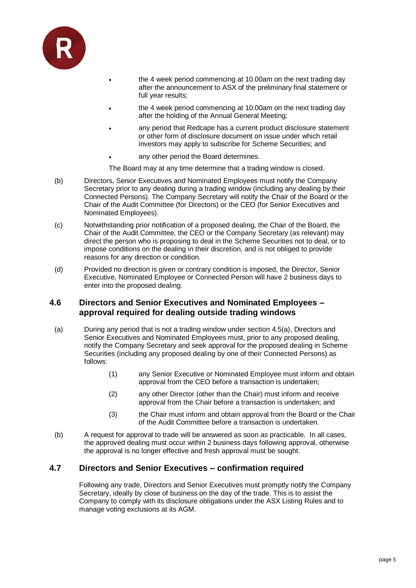

- the 4 week period commencing at 10.00am on the next trading day after the announcement to ASX of the preliminary final statement or full year results;
- the 4 week period commencing at 10.00am on the next trading day after the holding of the Annual General Meeting;
- any period that Redcape has a current product disclosure statement or other form of disclosure document on issue under which retail investors may apply to subscribe for Scheme Securities; and
- any other period the Board determines.
- The Board may at any time determine that a trading window is closed.
- (b) Directors, Senior Executives and Nominated Employees must notify the Company Secretary prior to any dealing during a trading window (including any dealing by their Connected Persons). The Company Secretary will notify the Chair of the Board or the Chair of the Audit Committee (for Directors) or the CEO (for Senior Executives and Nominated Employees).
- (c) Notwithstanding prior notification of a proposed dealing, the Chair of the Board, the Chair of the Audit Committee, the CEO or the Company Secretary (as relevant) may direct the person who is proposing to deal in the Scheme Securities not to deal, or to impose conditions on the dealing in their discretion, and is not obliged to provide reasons for any direction or condition.
- (d) Provided no direction is given or contrary condition is imposed, the Director, Senior Executive, Nominated Employee or Connected Person will have 2 business days to enter into the proposed dealing.

#### <span id="page-4-0"></span>**4.6 Directors and Senior Executives and Nominated Employees – approval required for dealing outside trading windows**

- (a) During any period that is not a trading window under section [4.5\(a\),](#page-3-2) Directors and Senior Executives and Nominated Employees must, prior to any proposed dealing, notify the Company Secretary and seek approval for the proposed dealing in Scheme Securities (including any proposed dealing by one of their Connected Persons) as follows:
	- (1) any Senior Executive or Nominated Employee must inform and obtain approval from the CEO before a transaction is undertaken;
	- (2) any other Director (other than the Chair) must inform and receive approval from the Chair before a transaction is undertaken; and
	- (3) the Chair must inform and obtain approval from the Board or the Chair of the Audit Committee before a transaction is undertaken.
- (b) A request for approval to trade will be answered as soon as practicable. In all cases, the approved dealing must occur within 2 business days following approval, otherwise the approval is no longer effective and fresh approval must be sought.

#### **4.7 Directors and Senior Executives – confirmation required**

Following any trade, Directors and Senior Executives must promptly notify the Company Secretary, ideally by close of business on the day of the trade. This is to assist the Company to comply with its disclosure obligations under the ASX Listing Rules and to manage voting exclusions at its AGM.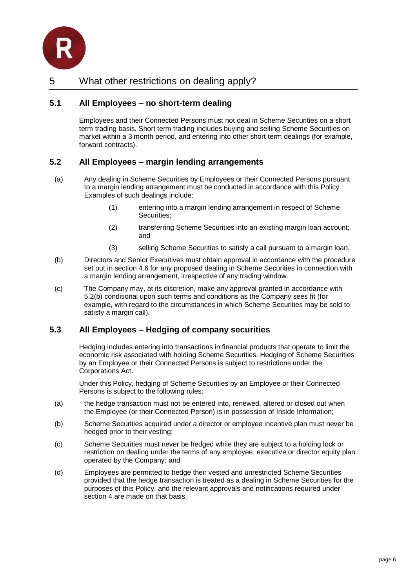

#### <span id="page-5-1"></span>**5.1 All Employees – no short-term dealing**

Employees and their Connected Persons must not deal in Scheme Securities on a short term trading basis. Short term trading includes buying and selling Scheme Securities on market within a 3 month period, and entering into other short term dealings (for example, forward contracts).

#### <span id="page-5-2"></span>**5.2 All Employees – margin lending arrangements**

- (a) Any dealing in Scheme Securities by Employees or their Connected Persons pursuant to a margin lending arrangement must be conducted in accordance with this Policy. Examples of such dealings include:
	- (1) entering into a margin lending arrangement in respect of Scheme Securities;
	- (2) transferring Scheme Securities into an existing margin loan account; and
	- (3) selling Scheme Securities to satisfy a call pursuant to a margin loan.
- <span id="page-5-0"></span>(b) Directors and Senior Executives must obtain approval in accordance with the procedure set out in section [4.6](#page-4-0) for any proposed dealing in Scheme Securities in connection with a margin lending arrangement, irrespective of any trading window.
- (c) The Company may, at its discretion, make any approval granted in accordance with [5.2\(b\)](#page-5-0) conditional upon such terms and conditions as the Company sees fit (for example, with regard to the circumstances in which Scheme Securities may be sold to satisfy a margin call).

#### **5.3 All Employees – Hedging of company securities**

Hedging includes entering into transactions in financial products that operate to limit the economic risk associated with holding Scheme Securities. Hedging of Scheme Securities by an Employee or their Connected Persons is subject to restrictions under the Corporations Act.

Under this Policy, hedging of Scheme Securities by an Employee or their Connected Persons is subject to the following rules:

- (a) the hedge transaction must not be entered into, renewed, altered or closed out when the Employee (or their Connected Person) is in possession of Inside Information;
- (b) Scheme Securities acquired under a director or employee incentive plan must never be hedged prior to their vesting;
- (c) Scheme Securities must never be hedged while they are subject to a holding lock or restriction on dealing under the terms of any employee, executive or director equity plan operated by the Company; and
- (d) Employees are permitted to hedge their vested and unrestricted Scheme Securities provided that the hedge transaction is treated as a dealing in Scheme Securities for the purposes of this Policy, and the relevant approvals and notifications required under section [4](#page-2-0) are made on that basis.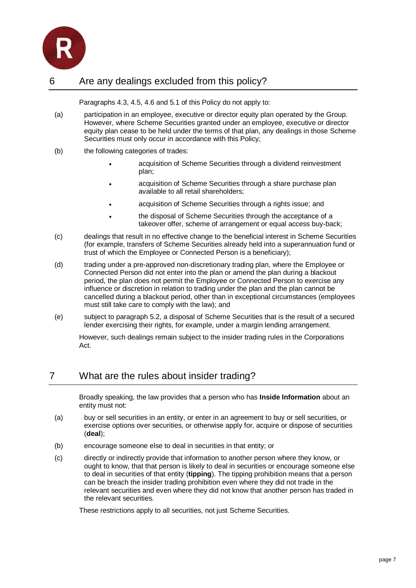

## 6 Are any dealings excluded from this policy?

Paragraphs [4.3,](#page-3-3) [4.5,](#page-3-1) [4.6](#page-4-0) and [5.1](#page-5-1) of this Policy do not apply to:

- (a) participation in an employee, executive or director equity plan operated by the Group. However, where Scheme Securities granted under an employee, executive or director equity plan cease to be held under the terms of that plan, any dealings in those Scheme Securities must only occur in accordance with this Policy;
- (b) the following categories of trades:
	- acquisition of Scheme Securities through a dividend reinvestment plan;
	- acquisition of Scheme Securities through a share purchase plan available to all retail shareholders;
	- acquisition of Scheme Securities through a rights issue; and
	- the disposal of Scheme Securities through the acceptance of a takeover offer, scheme of arrangement or equal access buy-back;
- (c) dealings that result in no effective change to the beneficial interest in Scheme Securities (for example, transfers of Scheme Securities already held into a superannuation fund or trust of which the Employee or Connected Person is a beneficiary);
- (d) trading under a pre-approved non-discretionary trading plan, where the Employee or Connected Person did not enter into the plan or amend the plan during a blackout period, the plan does not permit the Employee or Connected Person to exercise any influence or discretion in relation to trading under the plan and the plan cannot be cancelled during a blackout period, other than in exceptional circumstances (employees must still take care to comply with the law); and
- (e) subject to paragraph [5.2,](#page-5-2) a disposal of Scheme Securities that is the result of a secured lender exercising their rights, for example, under a margin lending arrangement.

However, such dealings remain subject to the insider trading rules in the Corporations Act.

## 7 What are the rules about insider trading?

Broadly speaking, the law provides that a person who has **Inside Information** about an entity must not:

- (a) buy or sell securities in an entity, or enter in an agreement to buy or sell securities, or exercise options over securities, or otherwise apply for, acquire or dispose of securities (**deal**);
- (b) encourage someone else to deal in securities in that entity; or
- (c) directly or indirectly provide that information to another person where they know, or ought to know, that that person is likely to deal in securities or encourage someone else to deal in securities of that entity (**tipping**). The tipping prohibition means that a person can be breach the insider trading prohibition even where they did not trade in the relevant securities and even where they did not know that another person has traded in the relevant securities.

These restrictions apply to all securities, not just Scheme Securities.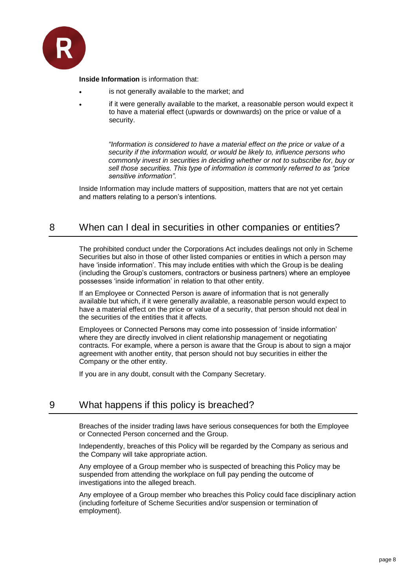

**Inside Information** is information that:

- is not generally available to the market; and
- if it were generally available to the market, a reasonable person would expect it to have a material effect (upwards or downwards) on the price or value of a security.

*"Information is considered to have a material effect on the price or value of a security if the information would, or would be likely to, influence persons who commonly invest in securities in deciding whether or not to subscribe for, buy or sell those securities. This type of information is commonly referred to as "price sensitive information".*

Inside Information may include matters of supposition, matters that are not yet certain and matters relating to a person's intentions.

## 8 When can I deal in securities in other companies or entities?

The prohibited conduct under the Corporations Act includes dealings not only in Scheme Securities but also in those of other listed companies or entities in which a person may have 'inside information'. This may include entities with which the Group is be dealing (including the Group's customers, contractors or business partners) where an employee possesses 'inside information' in relation to that other entity.

If an Employee or Connected Person is aware of information that is not generally available but which, if it were generally available, a reasonable person would expect to have a material effect on the price or value of a security, that person should not deal in the securities of the entities that it affects.

Employees or Connected Persons may come into possession of 'inside information' where they are directly involved in client relationship management or negotiating contracts. For example, where a person is aware that the Group is about to sign a major agreement with another entity, that person should not buy securities in either the Company or the other entity.

If you are in any doubt, consult with the Company Secretary.

## 9 What happens if this policy is breached?

Breaches of the insider trading laws have serious consequences for both the Employee or Connected Person concerned and the Group.

Independently, breaches of this Policy will be regarded by the Company as serious and the Company will take appropriate action.

Any employee of a Group member who is suspected of breaching this Policy may be suspended from attending the workplace on full pay pending the outcome of investigations into the alleged breach.

Any employee of a Group member who breaches this Policy could face disciplinary action (including forfeiture of Scheme Securities and/or suspension or termination of employment).